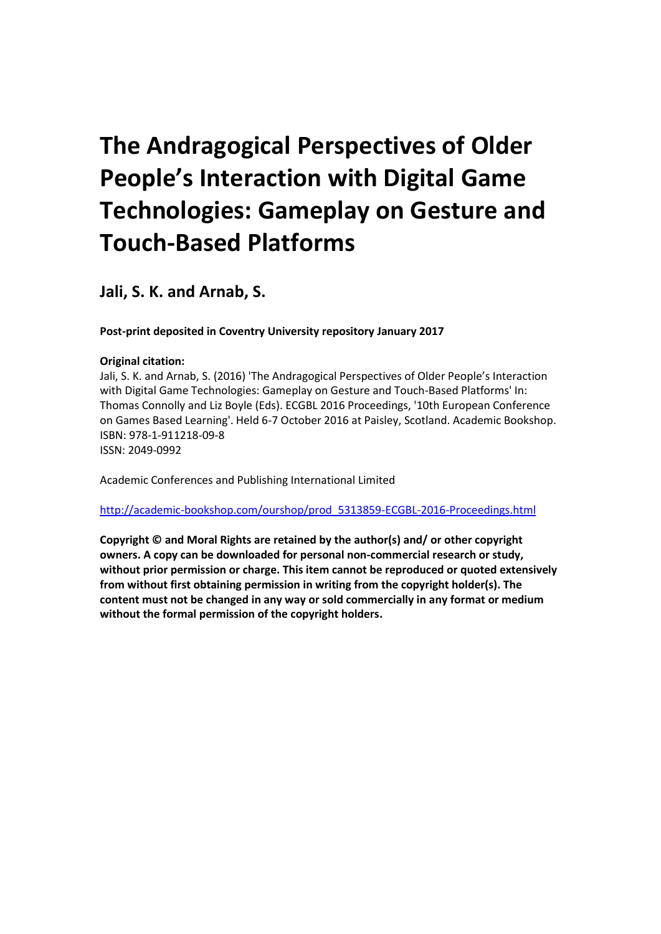# **The Andragogical Perspectives of Older People's Interaction with Digital Game Technologies: Gameplay on Gesture and Touch‐Based Platforms**

**Jali, S. K. and Arnab, S.**

**Post-print deposited in Coventry University repository January 2017**

# **Original citation:**

Jali, S. K. and Arnab, S. (2016) 'The Andragogical Perspectives of Older People's Interaction with Digital Game Technologies: Gameplay on Gesture and Touch‐Based Platforms' In: Thomas Connolly and Liz Boyle (Eds). ECGBL 2016 Proceedings, '10th European Conference on Games Based Learning'. Held 6-7 October 2016 at Paisley, Scotland. Academic Bookshop. ISBN: 978-1-911218-09-8 ISSN: 2049-0992

Academic Conferences and Publishing International Limited

[http://academic-bookshop.com/ourshop/prod\\_5313859-ECGBL-2016-Proceedings.html](http://academic-bookshop.com/ourshop/prod_5313859-ECGBL-2016-Proceedings.html)

**Copyright © and Moral Rights are retained by the author(s) and/ or other copyright owners. A copy can be downloaded for personal non-commercial research or study, without prior permission or charge. This item cannot be reproduced or quoted extensively from without first obtaining permission in writing from the copyright holder(s). The content must not be changed in any way or sold commercially in any format or medium without the formal permission of the copyright holders.**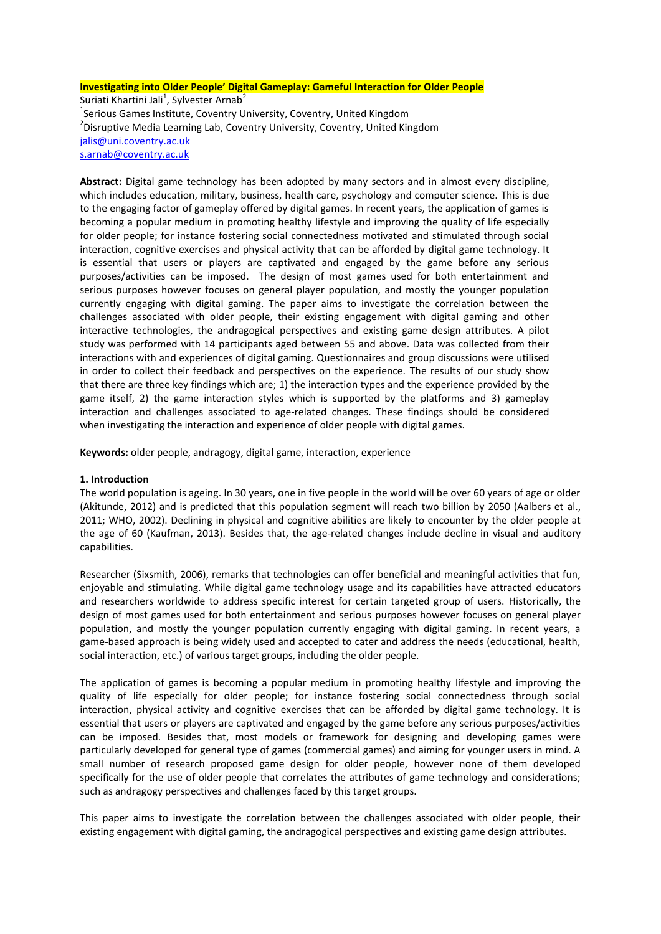## **Investigating into Older People' Digital Gameplay: Gameful Interaction for Older People** Suriati Khartini Jali<sup>1</sup>, Sylvester Arnab<sup>2</sup> <sup>1</sup>Serious Games Institute, Coventry University, Coventry, United Kingdom <sup>2</sup>Disruptive Media Learning Lab, Coventry University, Coventry, United Kingdom [jalis@uni.coventry.ac.uk](mailto:jalis@uni.coventry.ac.uk) [s.arnab@coventry.ac.uk](mailto:s.arnab@coventry.ac.uk)

**Abstract:** Digital game technology has been adopted by many sectors and in almost every discipline, which includes education, military, business, health care, psychology and computer science. This is due to the engaging factor of gameplay offered by digital games. In recent years, the application of games is becoming a popular medium in promoting healthy lifestyle and improving the quality of life especially for older people; for instance fostering social connectedness motivated and stimulated through social interaction, cognitive exercises and physical activity that can be afforded by digital game technology. It is essential that users or players are captivated and engaged by the game before any serious purposes/activities can be imposed. The design of most games used for both entertainment and serious purposes however focuses on general player population, and mostly the younger population currently engaging with digital gaming. The paper aims to investigate the correlation between the challenges associated with older people, their existing engagement with digital gaming and other interactive technologies, the andragogical perspectives and existing game design attributes. A pilot study was performed with 14 participants aged between 55 and above. Data was collected from their interactions with and experiences of digital gaming. Questionnaires and group discussions were utilised in order to collect their feedback and perspectives on the experience. The results of our study show that there are three key findings which are; 1) the interaction types and the experience provided by the game itself, 2) the game interaction styles which is supported by the platforms and 3) gameplay interaction and challenges associated to age-related changes. These findings should be considered when investigating the interaction and experience of older people with digital games.

**Keywords:** older people, andragogy, digital game, interaction, experience

## **1. Introduction**

The world population is ageing. In 30 years, one in five people in the world will be over 60 years of age or older (Akitunde, 2012) and is predicted that this population segment will reach two billion by 2050 (Aalbers et al., 2011; WHO, 2002). Declining in physical and cognitive abilities are likely to encounter by the older people at the age of 60 (Kaufman, 2013). Besides that, the age-related changes include decline in visual and auditory capabilities.

Researcher (Sixsmith, 2006), remarks that technologies can offer beneficial and meaningful activities that fun, enjoyable and stimulating. While digital game technology usage and its capabilities have attracted educators and researchers worldwide to address specific interest for certain targeted group of users. Historically, the design of most games used for both entertainment and serious purposes however focuses on general player population, and mostly the younger population currently engaging with digital gaming. In recent years, a game-based approach is being widely used and accepted to cater and address the needs (educational, health, social interaction, etc.) of various target groups, including the older people.

The application of games is becoming a popular medium in promoting healthy lifestyle and improving the quality of life especially for older people; for instance fostering social connectedness through social interaction, physical activity and cognitive exercises that can be afforded by digital game technology. It is essential that users or players are captivated and engaged by the game before any serious purposes/activities can be imposed. Besides that, most models or framework for designing and developing games were particularly developed for general type of games (commercial games) and aiming for younger users in mind. A small number of research proposed game design for older people, however none of them developed specifically for the use of older people that correlates the attributes of game technology and considerations; such as andragogy perspectives and challenges faced by this target groups.

This paper aims to investigate the correlation between the challenges associated with older people, their existing engagement with digital gaming, the andragogical perspectives and existing game design attributes.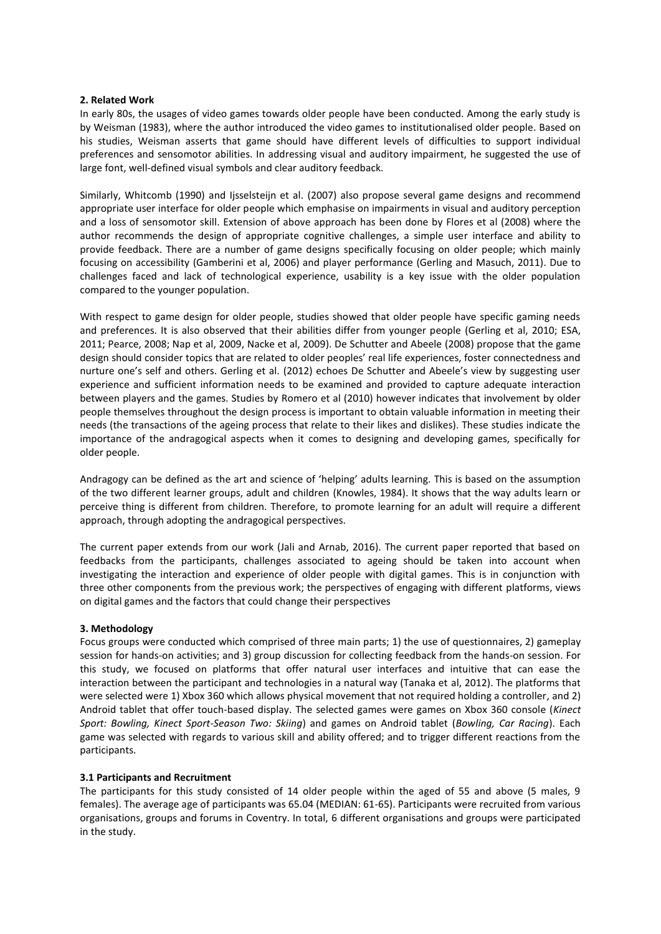#### **2. Related Work**

In early 80s, the usages of video games towards older people have been conducted. Among the early study is by Weisman (1983), where the author introduced the video games to institutionalised older people. Based on his studies, Weisman asserts that game should have different levels of difficulties to support individual preferences and sensomotor abilities. In addressing visual and auditory impairment, he suggested the use of large font, well-defined visual symbols and clear auditory feedback.

Similarly, Whitcomb (1990) and Ijsselsteijn et al. (2007) also propose several game designs and recommend appropriate user interface for older people which emphasise on impairments in visual and auditory perception and a loss of sensomotor skill. Extension of above approach has been done by Flores et al (2008) where the author recommends the design of appropriate cognitive challenges, a simple user interface and ability to provide feedback. There are a number of game designs specifically focusing on older people; which mainly focusing on accessibility (Gamberini et al, 2006) and player performance (Gerling and Masuch, 2011). Due to challenges faced and lack of technological experience, usability is a key issue with the older population compared to the younger population.

With respect to game design for older people, studies showed that older people have specific gaming needs and preferences. It is also observed that their abilities differ from younger people (Gerling et al, 2010; ESA, 2011; Pearce, 2008; Nap et al, 2009, Nacke et al, 2009). De Schutter and Abeele (2008) propose that the game design should consider topics that are related to older peoples' real life experiences, foster connectedness and nurture one's self and others. Gerling et al. (2012) echoes De Schutter and Abeele's view by suggesting user experience and sufficient information needs to be examined and provided to capture adequate interaction between players and the games. Studies by Romero et al (2010) however indicates that involvement by older people themselves throughout the design process is important to obtain valuable information in meeting their needs (the transactions of the ageing process that relate to their likes and dislikes). These studies indicate the importance of the andragogical aspects when it comes to designing and developing games, specifically for older people.

Andragogy can be defined as the art and science of 'helping' adults learning. This is based on the assumption of the two different learner groups, adult and children (Knowles, 1984). It shows that the way adults learn or perceive thing is different from children. Therefore, to promote learning for an adult will require a different approach, through adopting the andragogical perspectives.

The current paper extends from our work (Jali and Arnab, 2016). The current paper reported that based on feedbacks from the participants, challenges associated to ageing should be taken into account when investigating the interaction and experience of older people with digital games. This is in conjunction with three other components from the previous work; the perspectives of engaging with different platforms, views on digital games and the factors that could change their perspectives

## **3. Methodology**

Focus groups were conducted which comprised of three main parts; 1) the use of questionnaires, 2) gameplay session for hands-on activities; and 3) group discussion for collecting feedback from the hands-on session. For this study, we focused on platforms that offer natural user interfaces and intuitive that can ease the interaction between the participant and technologies in a natural way (Tanaka et al, 2012). The platforms that were selected were 1) Xbox 360 which allows physical movement that not required holding a controller, and 2) Android tablet that offer touch-based display. The selected games were games on Xbox 360 console (*Kinect Sport: Bowling, Kinect Sport-Season Two: Skiing*) and games on Android tablet (*Bowling, Car Racing*). Each game was selected with regards to various skill and ability offered; and to trigger different reactions from the participants.

#### **3.1 Participants and Recruitment**

The participants for this study consisted of 14 older people within the aged of 55 and above (5 males, 9 females). The average age of participants was 65.04 (MEDIAN: 61-65). Participants were recruited from various organisations, groups and forums in Coventry. In total, 6 different organisations and groups were participated in the study.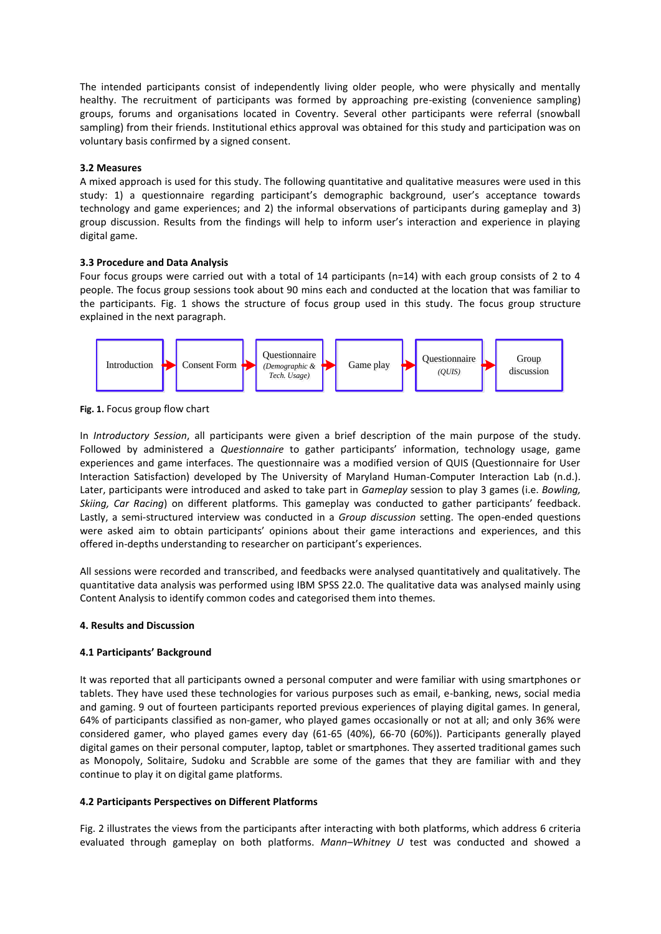The intended participants consist of independently living older people, who were physically and mentally healthy. The recruitment of participants was formed by approaching pre-existing (convenience sampling) groups, forums and organisations located in Coventry. Several other participants were referral (snowball sampling) from their friends. Institutional ethics approval was obtained for this study and participation was on voluntary basis confirmed by a signed consent.

## **3.2 Measures**

A mixed approach is used for this study. The following quantitative and qualitative measures were used in this study: 1) a questionnaire regarding participant's demographic background, user's acceptance towards technology and game experiences; and 2) the informal observations of participants during gameplay and 3) group discussion. Results from the findings will help to inform user's interaction and experience in playing digital game.

## **3.3 Procedure and Data Analysis**

Four focus groups were carried out with a total of 14 participants (n=14) with each group consists of 2 to 4 people. The focus group sessions took about 90 mins each and conducted at the location that was familiar to the participants. Fig. 1 shows the structure of focus group used in this study. The focus group structure explained in the next paragraph.



**Fig. 1.** Focus group flow chart

In *Introductory Session*, all participants were given a brief description of the main purpose of the study. Followed by administered a *Questionnaire* to gather participants' information, technology usage, game experiences and game interfaces. The questionnaire was a modified version of QUIS (Questionnaire for User Interaction Satisfaction) developed by The University of Maryland Human-Computer Interaction Lab (n.d.). Later, participants were introduced and asked to take part in *Gameplay* session to play 3 games (i.e. *Bowling, Skiing, Car Racing*) on different platforms. This gameplay was conducted to gather participants' feedback. Lastly, a semi-structured interview was conducted in a *Group discussion* setting. The open-ended questions were asked aim to obtain participants' opinions about their game interactions and experiences, and this offered in-depths understanding to researcher on participant's experiences.

All sessions were recorded and transcribed, and feedbacks were analysed quantitatively and qualitatively. The quantitative data analysis was performed using IBM SPSS 22.0. The qualitative data was analysed mainly using Content Analysis to identify common codes and categorised them into themes.

## **4. Results and Discussion**

## **4.1 Participants' Background**

It was reported that all participants owned a personal computer and were familiar with using smartphones or tablets. They have used these technologies for various purposes such as email, e-banking, news, social media and gaming. 9 out of fourteen participants reported previous experiences of playing digital games. In general, 64% of participants classified as non-gamer, who played games occasionally or not at all; and only 36% were considered gamer, who played games every day (61-65 (40%), 66-70 (60%)). Participants generally played digital games on their personal computer, laptop, tablet or smartphones. They asserted traditional games such as Monopoly, Solitaire, Sudoku and Scrabble are some of the games that they are familiar with and they continue to play it on digital game platforms.

## **4.2 Participants Perspectives on Different Platforms**

Fig. 2 illustrates the views from the participants after interacting with both platforms, which address 6 criteria evaluated through gameplay on both platforms. *Mann–Whitney U* test was conducted and showed a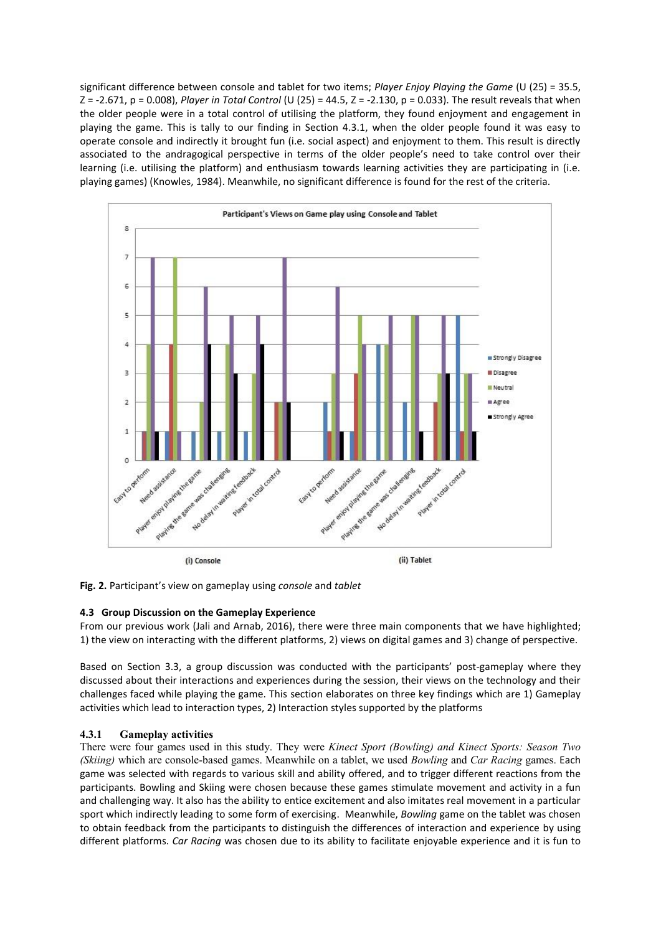significant difference between console and tablet for two items; *Player Enjoy Playing the Game* (U (25) = 35.5, Z = -2.671, p = 0.008), *Player in Total Control* (U (25) = 44.5, Z = -2.130, p = 0.033). The result reveals that when the older people were in a total control of utilising the platform, they found enjoyment and engagement in playing the game. This is tally to our finding in Section 4.3.1, when the older people found it was easy to operate console and indirectly it brought fun (i.e. social aspect) and enjoyment to them. This result is directly associated to the andragogical perspective in terms of the older people's need to take control over their learning (i.e. utilising the platform) and enthusiasm towards learning activities they are participating in (i.e. playing games) (Knowles, 1984). Meanwhile, no significant difference is found for the rest of the criteria.



**Fig. 2.** Participant's view on gameplay using *console* and *tablet*

# **4.3 Group Discussion on the Gameplay Experience**

From our previous work (Jali and Arnab, 2016), there were three main components that we have highlighted; 1) the view on interacting with the different platforms, 2) views on digital games and 3) change of perspective.

Based on Section 3.3, a group discussion was conducted with the participants' post-gameplay where they discussed about their interactions and experiences during the session, their views on the technology and their challenges faced while playing the game. This section elaborates on three key findings which are 1) Gameplay activities which lead to interaction types, 2) Interaction styles supported by the platforms

# **4.3.1 Gameplay activities**

There were four games used in this study. They were *Kinect Sport (Bowling) and Kinect Sports: Season Two (Skiing)* which are console-based games. Meanwhile on a tablet, we used *Bowling* and *Car Racing* games. Each game was selected with regards to various skill and ability offered, and to trigger different reactions from the participants. Bowling and Skiing were chosen because these games stimulate movement and activity in a fun and challenging way. It also has the ability to entice excitement and also imitates real movement in a particular sport which indirectly leading to some form of exercising. Meanwhile, *Bowling* game on the tablet was chosen to obtain feedback from the participants to distinguish the differences of interaction and experience by using different platforms. *Car Racing* was chosen due to its ability to facilitate enjoyable experience and it is fun to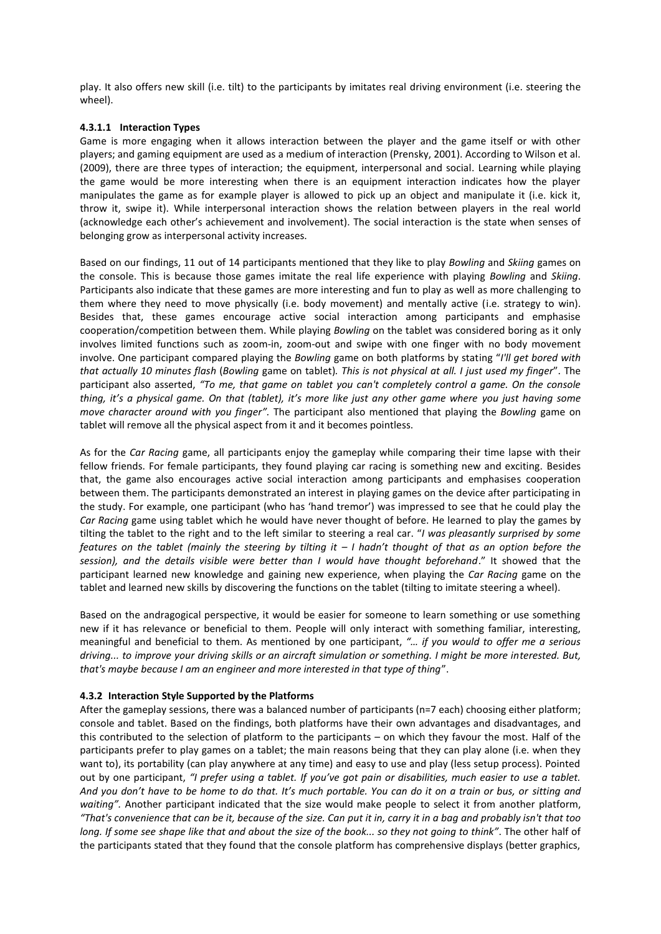play. It also offers new skill (i.e. tilt) to the participants by imitates real driving environment (i.e. steering the wheel).

#### **4.3.1.1 Interaction Types**

Game is more engaging when it allows interaction between the player and the game itself or with other players; and gaming equipment are used as a medium of interaction (Prensky, 2001). According to Wilson et al. (2009), there are three types of interaction; the equipment, interpersonal and social. Learning while playing the game would be more interesting when there is an equipment interaction indicates how the player manipulates the game as for example player is allowed to pick up an object and manipulate it (i.e. kick it, throw it, swipe it). While interpersonal interaction shows the relation between players in the real world (acknowledge each other's achievement and involvement). The social interaction is the state when senses of belonging grow as interpersonal activity increases.

Based on our findings, 11 out of 14 participants mentioned that they like to play *Bowling* and *Skiing* games on the console. This is because those games imitate the real life experience with playing *Bowling* and *Skiing*. Participants also indicate that these games are more interesting and fun to play as well as more challenging to them where they need to move physically (i.e. body movement) and mentally active (i.e. strategy to win). Besides that, these games encourage active social interaction among participants and emphasise cooperation/competition between them. While playing *Bowling* on the tablet was considered boring as it only involves limited functions such as zoom-in, zoom-out and swipe with one finger with no body movement involve. One participant compared playing the *Bowling* game on both platforms by stating "*I'll get bored with that actually 10 minutes flash* (*Bowling* game on tablet)*. This is not physical at all. I just used my finger*". The participant also asserted, *"To me, that game on tablet you can't completely control a game. On the console thing, it's a physical game. On that (tablet), it's more like just any other game where you just having some move character around with you finger".* The participant also mentioned that playing the *Bowling* game on tablet will remove all the physical aspect from it and it becomes pointless.

As for the *Car Racing* game, all participants enjoy the gameplay while comparing their time lapse with their fellow friends. For female participants, they found playing car racing is something new and exciting. Besides that, the game also encourages active social interaction among participants and emphasises cooperation between them. The participants demonstrated an interest in playing games on the device after participating in the study. For example, one participant (who has 'hand tremor') was impressed to see that he could play the *Car Racing* game using tablet which he would have never thought of before. He learned to play the games by tilting the tablet to the right and to the left similar to steering a real car. "*I was pleasantly surprised by some features on the tablet (mainly the steering by tilting it – I hadn't thought of that as an option before the session), and the details visible were better than I would have thought beforehand*." It showed that the participant learned new knowledge and gaining new experience, when playing the *Car Racing* game on the tablet and learned new skills by discovering the functions on the tablet (tilting to imitate steering a wheel).

Based on the andragogical perspective, it would be easier for someone to learn something or use something new if it has relevance or beneficial to them. People will only interact with something familiar, interesting, meaningful and beneficial to them. As mentioned by one participant, *"… if you would to offer me a serious driving... to improve your driving skills or an aircraft simulation or something. I might be more interested. But, that's maybe because I am an engineer and more interested in that type of thing*".

#### **4.3.2 Interaction Style Supported by the Platforms**

After the gameplay sessions, there was a balanced number of participants (n=7 each) choosing either platform; console and tablet. Based on the findings, both platforms have their own advantages and disadvantages, and this contributed to the selection of platform to the participants – on which they favour the most. Half of the participants prefer to play games on a tablet; the main reasons being that they can play alone (i.e. when they want to), its portability (can play anywhere at any time) and easy to use and play (less setup process). Pointed out by one participant, *"I prefer using a tablet. If you've got pain or disabilities, much easier to use a tablet. And you don't have to be home to do that. It's much portable. You can do it on a train or bus, or sitting and waiting".* Another participant indicated that the size would make people to select it from another platform, *"That's convenience that can be it, because of the size. Can put it in, carry it in a bag and probably isn't that too long. If some see shape like that and about the size of the book... so they not going to think"*. The other half of the participants stated that they found that the console platform has comprehensive displays (better graphics,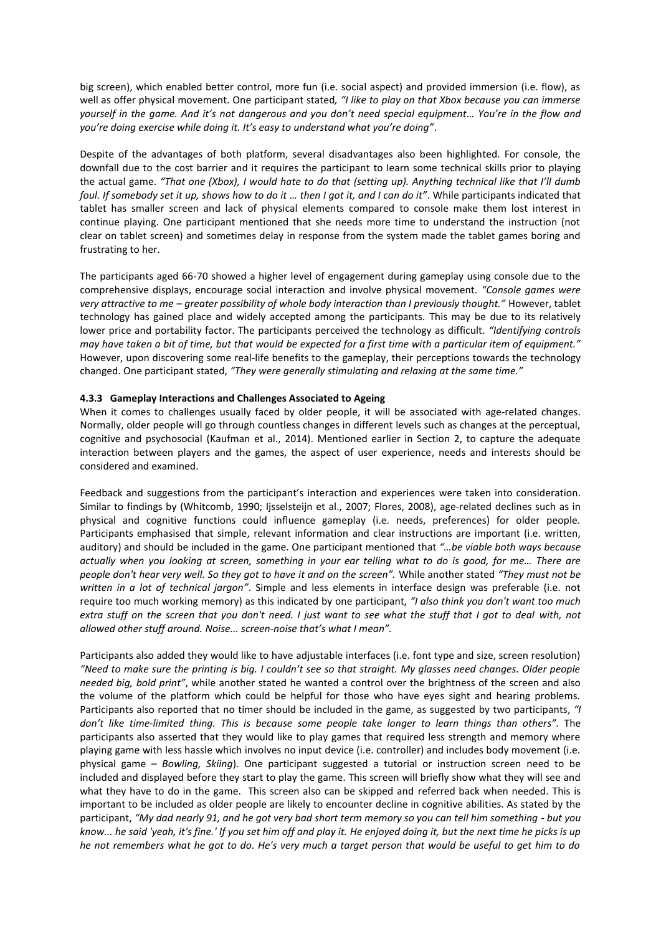big screen), which enabled better control, more fun (i.e. social aspect) and provided immersion (i.e. flow), as well as offer physical movement. One participant stated*, "I like to play on that Xbox because you can immerse yourself in the game. And it's not dangerous and you don't need special equipment… You're in the flow and you're doing exercise while doing it. It's easy to understand what you're doing"*.

Despite of the advantages of both platform, several disadvantages also been highlighted. For console, the downfall due to the cost barrier and it requires the participant to learn some technical skills prior to playing the actual game. *"That one (Xbox), I would hate to do that (setting up). Anything technical like that I'll dumb foul. If somebody set it up, shows how to do it … then I got it, and I can do it"*. While participants indicated that tablet has smaller screen and lack of physical elements compared to console make them lost interest in continue playing. One participant mentioned that she needs more time to understand the instruction (not clear on tablet screen) and sometimes delay in response from the system made the tablet games boring and frustrating to her.

The participants aged 66-70 showed a higher level of engagement during gameplay using console due to the comprehensive displays, encourage social interaction and involve physical movement. *"Console games were very attractive to me – greater possibility of whole body interaction than I previously thought."* However, tablet technology has gained place and widely accepted among the participants. This may be due to its relatively lower price and portability factor. The participants perceived the technology as difficult. *"Identifying controls may have taken a bit of time, but that would be expected for a first time with a particular item of equipment."* However, upon discovering some real-life benefits to the gameplay, their perceptions towards the technology changed. One participant stated, *"They were generally stimulating and relaxing at the same time."*

## **4.3.3 Gameplay Interactions and Challenges Associated to Ageing**

When it comes to challenges usually faced by older people, it will be associated with age-related changes. Normally, older people will go through countless changes in different levels such as changes at the perceptual, cognitive and psychosocial (Kaufman et al., 2014). Mentioned earlier in Section 2, to capture the adequate interaction between players and the games, the aspect of user experience, needs and interests should be considered and examined.

Feedback and suggestions from the participant's interaction and experiences were taken into consideration. Similar to findings by (Whitcomb, 1990; Ijsselsteijn et al., 2007; Flores, 2008), age-related declines such as in physical and cognitive functions could influence gameplay (i.e. needs, preferences) for older people. Participants emphasised that simple, relevant information and clear instructions are important (i.e. written, auditory) and should be included in the game. One participant mentioned that *"…be viable both ways because actually when you looking at screen, something in your ear telling what to do is good, for me… There are people don't hear very well. So they got to have it and on the screen".* While another stated *"They must not be written in a lot of technical jargon"*. Simple and less elements in interface design was preferable (i.e. not require too much working memory) as this indicated by one participant, *"I also think you don't want too much extra stuff on the screen that you don't need. I just want to see what the stuff that I got to deal with, not allowed other stuff around. Noise... screen-noise that's what I mean".*

Participants also added they would like to have adjustable interfaces (i.e. font type and size, screen resolution) *"Need to make sure the printing is big. I couldn't see so that straight. My glasses need changes. Older people needed big, bold print"*, while another stated he wanted a control over the brightness of the screen and also the volume of the platform which could be helpful for those who have eyes sight and hearing problems. Participants also reported that no timer should be included in the game, as suggested by two participants, *"I don't like time-limited thing. This is because some people take longer to learn things than others".* The participants also asserted that they would like to play games that required less strength and memory where playing game with less hassle which involves no input device (i.e. controller) and includes body movement (i.e. physical game – *Bowling, Skiing*). One participant suggested a tutorial or instruction screen need to be included and displayed before they start to play the game. This screen will briefly show what they will see and what they have to do in the game. This screen also can be skipped and referred back when needed. This is important to be included as older people are likely to encounter decline in cognitive abilities. As stated by the participant, "My dad nearly 91, and he got very bad short term memory so you can tell him something - but you *know... he said 'yeah, it's fine.' If you set him off and play it. He enjoyed doing it, but the next time he picks is up he not remembers what he got to do. He's very much a target person that would be useful to get him to do*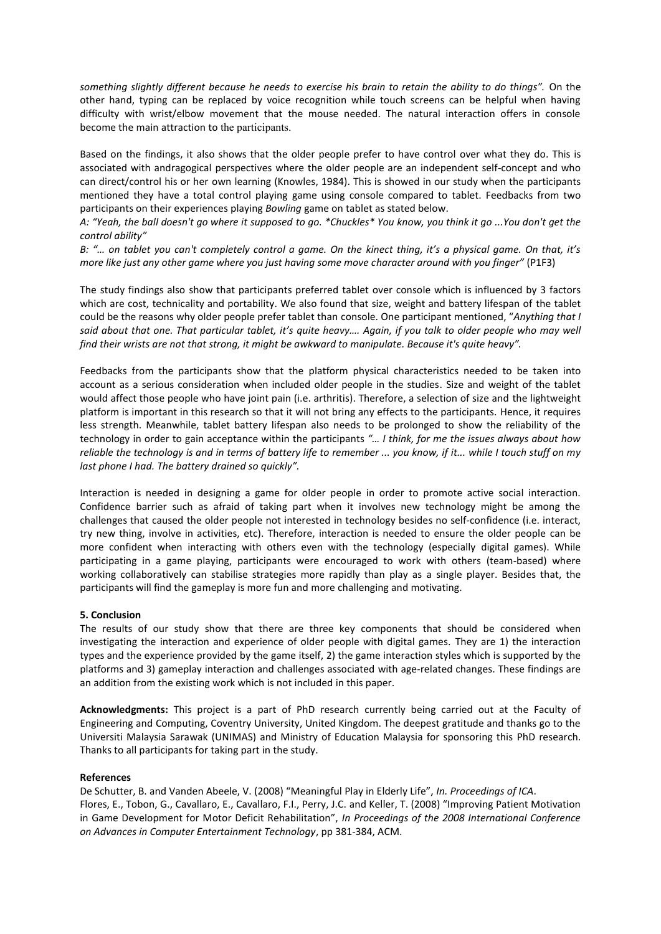*something slightly different because he needs to exercise his brain to retain the ability to do things".* On the other hand, typing can be replaced by voice recognition while touch screens can be helpful when having difficulty with wrist/elbow movement that the mouse needed. The natural interaction offers in console become the main attraction to the participants.

Based on the findings, it also shows that the older people prefer to have control over what they do. This is associated with andragogical perspectives where the older people are an independent self-concept and who can direct/control his or her own learning (Knowles, 1984). This is showed in our study when the participants mentioned they have a total control playing game using console compared to tablet. Feedbacks from two participants on their experiences playing *Bowling* game on tablet as stated below.

*A: "Yeah, the ball doesn't go where it supposed to go. \*Chuckles\* You know, you think it go ...You don't get the control ability"*

*B: "… on tablet you can't completely control a game. On the kinect thing, it's a physical game. On that, it's more like just any other game where you just having some move character around with you finger"* (P1F3)

The study findings also show that participants preferred tablet over console which is influenced by 3 factors which are cost, technicality and portability. We also found that size, weight and battery lifespan of the tablet could be the reasons why older people prefer tablet than console. One participant mentioned, "*Anything that I said about that one. That particular tablet, it's quite heavy…. Again, if you talk to older people who may well find their wrists are not that strong, it might be awkward to manipulate. Because it's quite heavy".*

Feedbacks from the participants show that the platform physical characteristics needed to be taken into account as a serious consideration when included older people in the studies. Size and weight of the tablet would affect those people who have joint pain (i.e. arthritis). Therefore, a selection of size and the lightweight platform is important in this research so that it will not bring any effects to the participants. Hence, it requires less strength. Meanwhile, tablet battery lifespan also needs to be prolonged to show the reliability of the technology in order to gain acceptance within the participants *"… I think, for me the issues always about how reliable the technology is and in terms of battery life to remember ... you know, if it... while I touch stuff on my last phone I had. The battery drained so quickly".*

Interaction is needed in designing a game for older people in order to promote active social interaction. Confidence barrier such as afraid of taking part when it involves new technology might be among the challenges that caused the older people not interested in technology besides no self-confidence (i.e. interact, try new thing, involve in activities, etc). Therefore, interaction is needed to ensure the older people can be more confident when interacting with others even with the technology (especially digital games). While participating in a game playing, participants were encouraged to work with others (team-based) where working collaboratively can stabilise strategies more rapidly than play as a single player. Besides that, the participants will find the gameplay is more fun and more challenging and motivating.

#### **5. Conclusion**

The results of our study show that there are three key components that should be considered when investigating the interaction and experience of older people with digital games. They are 1) the interaction types and the experience provided by the game itself, 2) the game interaction styles which is supported by the platforms and 3) gameplay interaction and challenges associated with age-related changes. These findings are an addition from the existing work which is not included in this paper.

**Acknowledgments:** This project is a part of PhD research currently being carried out at the Faculty of Engineering and Computing, Coventry University, United Kingdom. The deepest gratitude and thanks go to the Universiti Malaysia Sarawak (UNIMAS) and Ministry of Education Malaysia for sponsoring this PhD research. Thanks to all participants for taking part in the study.

#### **References**

De Schutter, B. and Vanden Abeele, V. (2008) "Meaningful Play in Elderly Life", *In. Proceedings of ICA*. Flores, E., Tobon, G., Cavallaro, E., Cavallaro, F.I., Perry, J.C. and Keller, T. (2008) "Improving Patient Motivation in Game Development for Motor Deficit Rehabilitation", *In Proceedings of the 2008 International Conference on Advances in Computer Entertainment Technology*, pp 381-384, ACM.